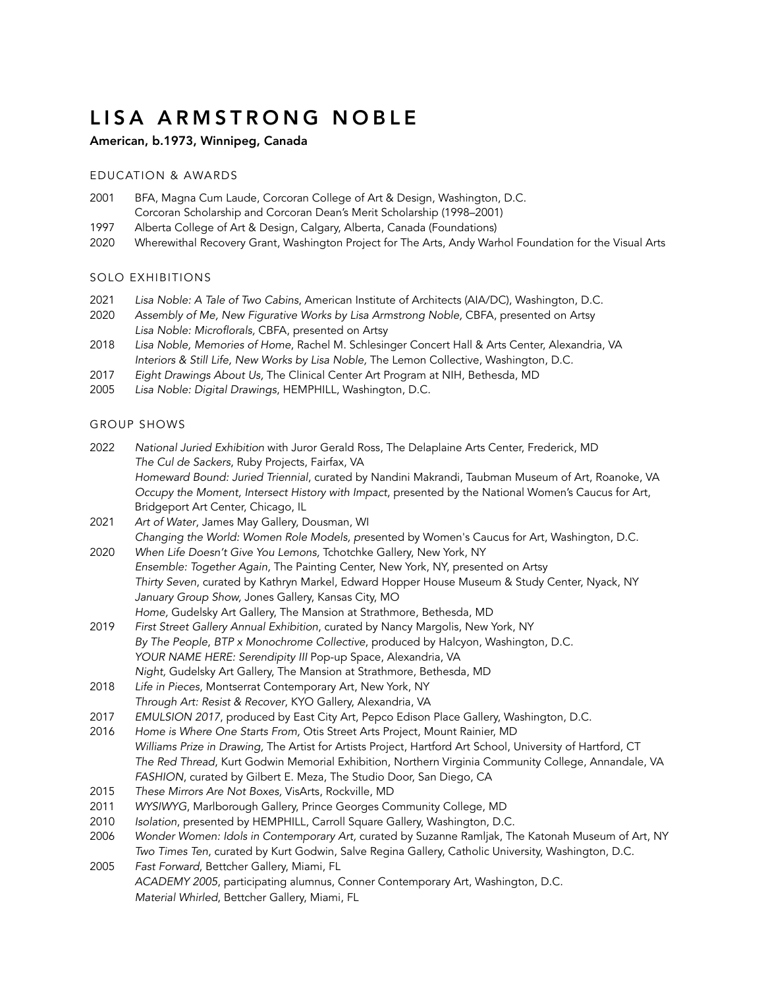# LISA ARMSTRONG NOBLE

## American, b.1973, Winnipeg, Canada

#### EDUCATION & AWARDS

- 2001 BFA, Magna Cum Laude, Corcoran College of Art & Design, Washington, D.C. Corcoran Scholarship and Corcoran Dean's Merit Scholarship (1998–2001)
- 1997 Alberta College of Art & Design, Calgary, Alberta, Canada (Foundations)
- 2020 Wherewithal Recovery Grant, Washington Project for The Arts, Andy Warhol Foundation for the Visual Arts

## SOLO EXHIBITIONS

- 2021 *Lisa Noble: A Tale of Two Cabins*, American Institute of Architects (AIA/DC), Washington, D.C.
- 2020 *Assembly of Me, New Figurative Works by Lisa Armstrong Noble,* CBFA, presented on Artsy *Lisa Noble: Microflorals,* CBFA, presented on Artsy
- 2018 *Lisa Noble, Memories of Home*, Rachel M. Schlesinger Concert Hall & Arts Center, Alexandria, VA *Interiors & Still Life, New Works by Lisa Noble,* The Lemon Collective, Washington, D.C*.*
- 2017 *Eight Drawings About Us,* The Clinical Center Art Program at NIH, Bethesda, MD
- 2005 *Lisa Noble: Digital Drawings*, HEMPHILL, Washington, D.C.

## GROUP SHOWS

- 2022 *National Juried Exhibition* with Juror Gerald Ross, The Delaplaine Arts Center, Frederick, MD *The Cul de Sackers*, Ruby Projects, Fairfax, VA *Homeward Bound: Juried Triennial*, curated by Nandini Makrandi, Taubman Museum of Art, Roanoke, VA *Occupy the Moment, Intersect History with Impact*, presented by the National Women's Caucus for Art, Bridgeport Art Center, Chicago, IL
- 2021 *Art of Water*, James May Gallery, Dousman, WI *Changing the World: Women Role Models, pr*esented by Women's Caucus for Art, Washington, D.C.
- 2020 *When Life Doesn't Give You Lemons,* Tchotchke Gallery, New York, NY *Ensemble: Together Again,* The Painting Center, New York, NY, presented on Artsy *Thirty Seven*, curated by Kathryn Markel, Edward Hopper House Museum & Study Center, Nyack, NY *January Group Show,* Jones Gallery, Kansas City, MO *Home,* Gudelsky Art Gallery, The Mansion at Strathmore, Bethesda, MD
- 2019 *First Street Gallery Annual Exhibition*, curated by Nancy Margolis, New York, NY *By The People*, *BTP x Monochrome Collective*, produced by Halcyon, Washington, D.C. *YOUR NAME HERE: Serendipity III* Pop-up Space, Alexandria, VA *Night,* Gudelsky Art Gallery, The Mansion at Strathmore, Bethesda, MD
- 2018 *Life in Pieces*, Montserrat Contemporary Art, New York, NY *Through Art: Resist & Recover*, KYO Gallery, Alexandria, VA
- 2017 *EMULSION 2017*, produced by East City Art, Pepco Edison Place Gallery, Washington, D.C.
- 2016 *Home is Where One Starts From,* Otis Street Arts Project, Mount Rainier, MD *Williams Prize in Drawing,* The Artist for Artists Project, Hartford Art School, University of Hartford, CT *The Red Thread*, Kurt Godwin Memorial Exhibition, Northern Virginia Community College, Annandale, VA *FASHION*, curated by Gilbert E. Meza, The Studio Door, San Diego, CA
- 2015 *These Mirrors Are Not Boxes,* VisArts, Rockville, MD
- 2011 *WYSIWYG*, Marlborough Gallery, Prince Georges Community College, MD
- 2010 *Isolation*, presented by HEMPHILL, Carroll Square Gallery, Washington, D.C.
- 2006 *Wonder Women: Idols in Contemporary Art,* curated by Suzanne Ramljak, The Katonah Museum of Art, NY *Two Times Ten*, curated by Kurt Godwin, Salve Regina Gallery, Catholic University, Washington, D.C.
- 2005 *Fast Forward*, Bettcher Gallery, Miami, FL *ACADEMY 2005*, participating alumnus, Conner Contemporary Art, Washington, D.C. *Material Whirled*, Bettcher Gallery, Miami, FL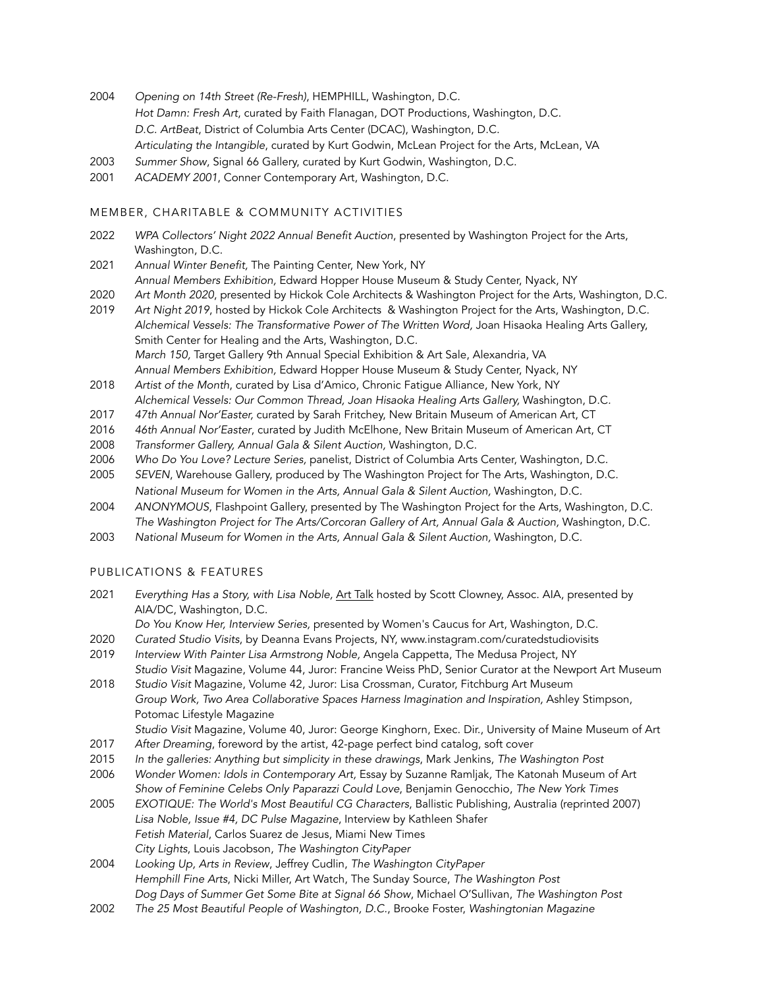- 2004 *Opening on 14th Street (Re-Fresh)*, HEMPHILL, Washington, D.C. *Hot Damn: Fresh Art*, curated by Faith Flanagan, DOT Productions, Washington, D.C. *D.C. ArtBeat*, District of Columbia Arts Center (DCAC), Washington, D.C. *Articulating the Intangible*, curated by Kurt Godwin, McLean Project for the Arts, McLean, VA
- 2003 *Summer Show*, Signal 66 Gallery, curated by Kurt Godwin, Washington, D.C.
- 2001 *ACADEMY 2001*, Conner Contemporary Art, Washington, D.C.

## MEMBER, CHARITABLE & COMMUNITY ACTIVITIES

- 2022 *WPA Collectors' Night 2022 Annual Benefit Auction*, presented by Washington Project for the Arts, Washington, D.C.
- 2021 *Annual Winter Benefit,* The Painting Center, New York, NY *Annual Members Exhibition,* Edward Hopper House Museum & Study Center, Nyack, NY
- 2020 *Art Month 2020*, presented by Hickok Cole Architects & Washington Project for the Arts, Washington, D.C.
- 2019 *Art Night 2019*, hosted by Hickok Cole Architects & Washington Project for the Arts, Washington, D.C. *Alchemical Vessels: The Transformative Power of The Written Word,* Joan Hisaoka Healing Arts Gallery, Smith Center for Healing and the Arts, Washington, D.C*. March 150,* Target Gallery 9th Annual Special Exhibition & Art Sale, Alexandria, VA *Annual Members Exhibition,* Edward Hopper House Museum & Study Center, Nyack, NY
- 2018 *Artist of the Month*, curated by Lisa d'Amico, Chronic Fatigue Alliance, New York, NY *Alchemical Vessels: Our Common Thread, Joan Hisaoka Healing Arts Gallery,* Washington, D.C*.*
- 2017 *47th Annual Nor'Easter,* curated by Sarah Fritchey, New Britain Museum of American Art, CT
- 2016 *46th Annual Nor'Easter*, curated by Judith McElhone, New Britain Museum of American Art, CT
- 2008 *Transformer Gallery, Annual Gala & Silent Auction,* Washington, D.C.
- 2006 *Who Do You Love? Lecture Series,* panelist, District of Columbia Arts Center, Washington, D.C.
- 2005 *SEVEN*, Warehouse Gallery, produced by The Washington Project for The Arts, Washington, D.C. *National Museum for Women in the Arts, Annual Gala & Silent Auction,* Washington, D.C.
- 2004 *ANONYMOUS*, Flashpoint Gallery, presented by The Washington Project for the Arts, Washington, D.C. *The Washington Project for The Arts/Corcoran Gallery of Art, Annual Gala & Auction,* Washington, D.C.
- 2003 *National Museum for Women in the Arts, Annual Gala & Silent Auction,* Washington, D.C.

#### PUBLICATIONS & FEATURES

2021 *Everything Has a Story, with Lisa Noble,* [Art Talk](https://www.youtube.com/watch?v=JQLggM-AzcU) hosted by Scott Clowney, Assoc. AIA, presented by AIA/DC, Washington, D.C.

*Do You Know Her, Interview Series,* presented by Women's Caucus for Art, Washington, D.C.

- 2020 *Curated Studio Visits*, by Deanna Evans Projects, NY, www.instagram.com/curatedstudiovisits
- 2019 *Interview With Painter Lisa Armstrong Noble,* Angela Cappetta, The Medusa Project, NY *Studio Visit* Magazine, Volume 44, Juror: Francine Weiss PhD, Senior Curator at the Newport Art Museum
- 2018 *Studio Visit* Magazine, Volume 42, Juror: Lisa Crossman, Curator, Fitchburg Art Museum *Group Work, Two Area Collaborative Spaces Harness Imagination and Inspiration,* Ashley Stimpson, Potomac Lifestyle Magazine

*Studio Visit* Magazine, Volume 40, Juror: George Kinghorn, Exec. Dir., University of Maine Museum of Art

- 2017 *After Dreaming*, foreword by the artist, 42-page perfect bind catalog, soft cover
- 2015 *In the galleries: Anything but simplicity in these drawings*, Mark Jenkins, *The Washington Post*
- 2006 *Wonder Women: Idols in Contemporary Art,* Essay by Suzanne Ramljak*,* The Katonah Museum of Art *Show of Feminine Celebs Only Paparazzi Could Love*, Benjamin Genocchio, *The New York Times*
- 2005 *EXOTIQUE: The World's Most Beautiful CG Characters*, Ballistic Publishing, Australia (reprinted 2007) *Lisa Noble, Issue #4, DC Pulse Magazine*, Interview by Kathleen Shafer *Fetish Material*, Carlos Suarez de Jesus, Miami New Times *City Lights*, Louis Jacobson, *The Washington CityPaper*
- 2004 *Looking Up, Arts in Review*, Jeffrey Cudlin, *The Washington CityPaper Hemphill Fine Arts*, Nicki Miller, Art Watch, The Sunday Source, *The Washington Post Dog Days of Summer Get Some Bite at Signal 66 Show*, Michael O'Sullivan, *The Washington Post*
- 2002 *The 25 Most Beautiful People of Washington, D.C.*, Brooke Foster, *Washingtonian Magazine*